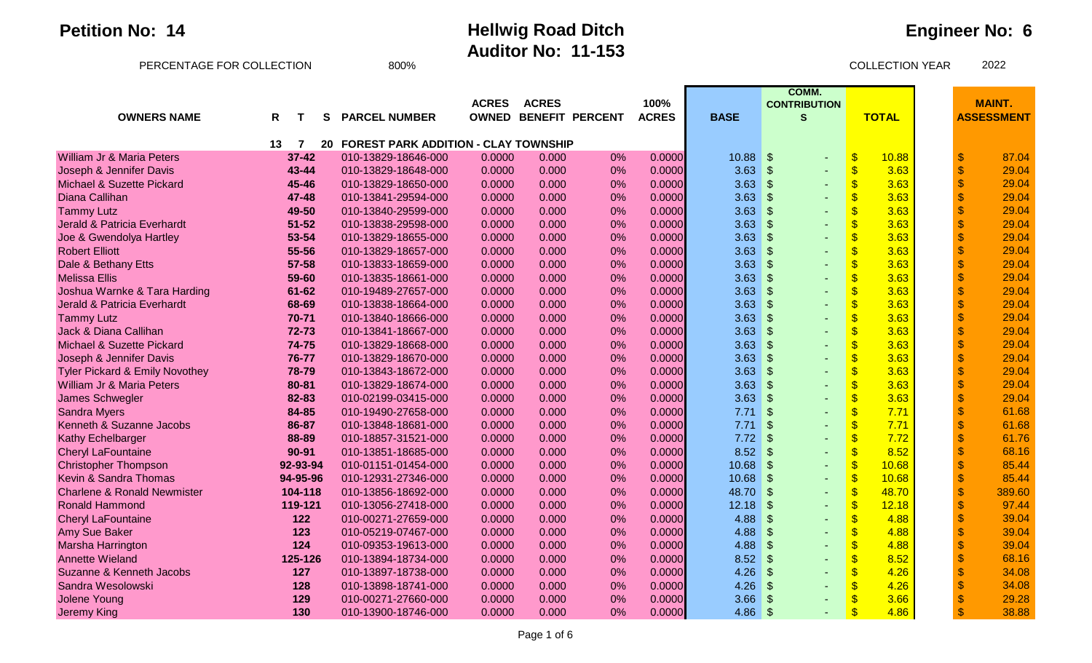| <b>COMM.</b>                                                                                                                                                                                  |                                    |
|-----------------------------------------------------------------------------------------------------------------------------------------------------------------------------------------------|------------------------------------|
| <b>ACRES</b><br><b>ACRES</b><br>100%<br><b>CONTRIBUTION</b>                                                                                                                                   | <b>MAINT.</b>                      |
| <b>PARCEL NUMBER</b><br><b>BENEFIT PERCENT</b><br><b>ACRES</b><br><b>BASE</b><br><b>TOTAL</b><br><b>OWNERS NAME</b><br>R<br>S<br><b>OWNED</b><br>S                                            | <b>ASSESSMENT</b>                  |
|                                                                                                                                                                                               |                                    |
| 13<br><b>FOREST PARK ADDITION - CLAY TOWNSHIP</b><br>7<br>20                                                                                                                                  |                                    |
| 10.88<br>$\sqrt[6]{3}$<br>$\sqrt[6]{3}$<br>William Jr & Maria Peters<br>$37 - 42$<br>010-13829-18646-000<br>0%<br>0.0000<br>10.88<br>0.0000<br>0.000<br>$\sim$                                | \$<br>87.04                        |
| $\sqrt{3}$<br>43-44<br>0%<br>3.63<br>$\sqrt[6]{\frac{1}{2}}$<br>3.63<br>Joseph & Jennifer Davis<br>010-13829-18648-000<br>0.0000<br>0.000<br>0.0000                                           | $\mathsf{\$}$<br>29.04             |
| $\sqrt{3}$<br>Michael & Suzette Pickard<br>010-13829-18650-000<br>0.000<br>3.63<br>$\mathfrak{S}$<br>3.63<br>45-46<br>0.0000<br>0%<br>0.0000                                                  | \$<br>29.04                        |
| $\sqrt{3}$<br>$\sqrt[6]{\frac{1}{2}}$<br>3.63<br>Diana Callihan<br>47-48<br>010-13841-29594-000<br>0.0000<br>0.000<br>0%<br>0.0000<br>3.63                                                    | $\frac{1}{2}$<br>29.04             |
| $\sqrt[3]{\frac{1}{2}}$<br>49-50<br>0.000<br>0%<br>3.63<br>$\sqrt[6]{\frac{1}{2}}$<br>3.63<br><b>Tammy Lutz</b><br>010-13840-29599-000<br>0.0000<br>0.0000<br>$\overline{\phantom{a}}$        | \$<br>29.04                        |
| $\sqrt[6]{\frac{1}{2}}$<br>$\mathfrak{S}$<br>3.63<br>$51 - 52$<br>010-13838-29598-000<br>0.000<br>0%<br>3.63<br>Jerald & Patricia Everhardt<br>0.0000<br>0.0000                               | \$<br>29.04                        |
| $\sqrt{3}$<br>0.000<br>3.63<br>$\sqrt[6]{\frac{1}{2}}$<br>Joe & Gwendolya Hartley<br>53-54<br>010-13829-18655-000<br>0.0000<br>0%<br>0.0000<br>3.63                                           | \$<br>29.04                        |
| $\sqrt[6]{\frac{1}{2}}$<br>$\sqrt[6]{\frac{1}{2}}$<br>0.000<br>3.63<br>3.63<br><b>Robert Elliott</b><br>55-56<br>010-13829-18657-000<br>0.0000<br>0%<br>0.0000                                | \$<br>29.04                        |
| $\sqrt[6]{\frac{1}{2}}$<br>Dale & Bethany Etts<br>$\mathcal{S}$<br>57-58<br>0.000<br>0%<br>3.63<br>3.63<br>010-13833-18659-000<br>0.0000<br>0.0000                                            | \$<br>29.04                        |
| $\mathsf{\$}$<br>3.63<br>$\mathfrak{S}$<br>3.63<br><b>Melissa Ellis</b><br>59-60<br>010-13835-18661-000<br>0.0000<br>0.000<br>0%<br>0.0000                                                    | \$<br>29.04                        |
| $\sqrt[6]{3}$<br>3.63<br>Joshua Warnke & Tara Harding<br>0.000<br>0%<br>3.63<br>$\sqrt[6]{\frac{1}{2}}$<br>61-62<br>010-19489-27657-000<br>0.0000<br>0.0000                                   | $\frac{1}{2}$<br>29.04             |
| $\boldsymbol{\$}$<br>3.63<br>$\mathcal{S}$<br>68-69<br>010-13838-18664-000<br>0.0000<br>0.000<br>0%<br>3.63<br>Jerald & Patricia Everhardt<br>0.0000                                          | \$<br>29.04                        |
| $\sqrt{3}$<br>$\sqrt[6]{\frac{1}{2}}$<br>3.63<br>3.63<br>70-71<br>010-13840-18666-000<br>0.000<br>0%<br>0.0000<br><b>Tammy Lutz</b><br>0.0000                                                 | \$<br>29.04                        |
| $\sqrt[6]{\frac{1}{2}}$<br>0.000<br>3.63<br>$\sqrt[6]{\frac{1}{2}}$<br>3.63<br>Jack & Diana Callihan<br>72-73<br>010-13841-18667-000<br>0.0000<br>0%<br>0.0000                                | \$<br>29.04                        |
| $\sqrt{3}$<br>3.63<br>$\mathcal{S}$<br>Michael & Suzette Pickard<br>74-75<br>010-13829-18668-000<br>0.0000<br>0.000<br>0%<br>3.63<br>0.0000                                                   | \$<br>29.04                        |
| $\sqrt{3}$<br>$\boldsymbol{\mathsf{S}}$<br>3.63<br>Joseph & Jennifer Davis<br>76-77<br>010-13829-18670-000<br>0.000<br>0%<br>3.63<br>0.0000<br>0.0000                                         | $\mathsf{\$}$<br>29.04             |
| $\sqrt{3}$<br>0.000<br>0%<br>3.63<br>$\mathfrak{S}$<br>3.63<br><b>Tyler Pickard &amp; Emily Novothey</b><br>78-79<br>010-13843-18672-000<br>0.0000<br>0.0000                                  | $\mathsf{\$}$<br>29.04             |
| $\sqrt{3}$<br>$\sqrt{3}$<br>3.63<br><b>William Jr &amp; Maria Peters</b><br>010-13829-18674-000<br>0.000<br>0%<br>3.63<br>80-81<br>0.0000<br>0.0000                                           | $\boldsymbol{\$}$<br>29.04         |
| $\sqrt[6]{\frac{1}{2}}$<br>3.63<br>$\sqrt{3}$<br>3.63<br><b>James Schwegler</b><br>82-83<br>010-02199-03415-000<br>0.0000<br>0.000<br>0%<br>0.0000                                            | \$<br>29.04                        |
| $\sqrt[6]{\frac{1}{2}}$<br>0.000<br>0%<br>7.71<br>$\mathfrak{S}$<br>7.71<br><b>Sandra Myers</b><br>84-85<br>010-19490-27658-000<br>0.0000<br>0.0000                                           | $\boldsymbol{\mathsf{S}}$<br>61.68 |
| $\sqrt[6]{\frac{1}{2}}$<br>$\mathfrak{S}$<br>7.71<br>Kenneth & Suzanne Jacobs<br>0.000<br>0%<br>7.71<br>86-87<br>010-13848-18681-000<br>0.0000<br>0.0000                                      | $\mathbf{\$}$<br>61.68             |
| $\sqrt{3}$<br>$\mathcal{S}$<br>Kathy Echelbarger<br>88-89<br>010-18857-31521-000<br>0.0000<br>0.000<br>0%<br>0.0000<br>7.72<br>7.72                                                           | \$<br>61.76                        |
| $\sqrt{3}$<br>8.52<br>$\mathfrak{L}$<br>8.52<br><b>Cheryl LaFountaine</b><br>$90 - 91$<br>010-13851-18685-000<br>0.0000<br>0.000<br>0%<br>0.0000                                              | $\mathsf{\$}$<br>68.16             |
| $\sqrt[6]{\frac{1}{2}}$<br><b>Christopher Thompson</b><br>92-93-94<br>0.000<br>0%<br>10.68<br>$\mathfrak{S}$<br>10.68<br>010-01151-01454-000<br>0.0000<br>0.0000                              | $\frac{1}{2}$<br>85.44             |
| $\sqrt[6]{3}$<br>94-95-96<br>0.000<br>10.68<br>$\sqrt{3}$<br>10.68<br>Kevin & Sandra Thomas<br>010-12931-27346-000<br>0.0000<br>0%<br>0.0000<br>$\sim$                                        | \$<br>85.44                        |
| $\sqrt[6]{3}$<br>$\sqrt[6]{\frac{1}{2}}$<br>104-118<br>48.70<br>48.70<br><b>Charlene &amp; Ronald Newmister</b><br>010-13856-18692-000<br>0.0000<br>0.000<br>0%<br>0.0000                     | $\frac{1}{2}$<br>389.60            |
| $\sqrt[6]{\frac{1}{2}}$<br>$\mathcal{S}$<br><b>Ronald Hammond</b><br>119-121<br>0.0000<br>0.000<br>0%<br>0.0000<br>12.18<br>12.18<br>010-13056-27418-000                                      | \$<br>97.44                        |
| $\sqrt[3]{\frac{1}{2}}$<br>4.88<br>$\sqrt[6]{\frac{1}{2}}$<br><b>Cheryl LaFountaine</b><br>122<br>010-00271-27659-000<br>0.0000<br>0.000<br>0%<br>0.0000<br>4.88                              | \$<br>39.04                        |
| $\sqrt{3}$<br>123<br>0.000<br>4.88<br>$\sqrt[6]{\frac{1}{2}}$<br><b>Amy Sue Baker</b><br>010-05219-07467-000<br>0.0000<br>0%<br>0.0000<br>4.88                                                | \$<br>39.04                        |
| $\mathsf{\$}$<br>$\mathcal{S}$<br>124<br>0.000<br>0%<br>4.88<br>4.88<br>Marsha Harrington<br>010-09353-19613-000<br>0.0000<br>0.0000                                                          | \$<br>39.04                        |
| $\sqrt[6]{\frac{1}{2}}$<br>$\sqrt[6]{\frac{1}{2}}$<br>8.52<br><b>Annette Wieland</b><br>125-126<br>010-13894-18734-000<br>0.0000<br>0.000<br>0%<br>0.0000<br>8.52                             | $\frac{1}{2}$<br>68.16             |
| $\sqrt[3]{\frac{1}{2}}$<br>127<br>0.000<br>0%<br>4.26<br>$\boldsymbol{\mathsf{S}}$<br>4.26<br>Suzanne & Kenneth Jacobs<br>010-13897-18738-000<br>0.0000<br>0.0000<br>$\overline{\phantom{a}}$ | \$<br>34.08                        |
| $\sqrt[6]{3}$<br>4.26<br>$\sqrt[6]{\frac{1}{2}}$<br>Sandra Wesolowski<br>128<br>010-13898-18741-000<br>0%<br>4.26<br>0.0000<br>0.000<br>0.0000                                                | $\mathsf{\$}$<br>34.08             |
| $\sqrt[6]{\frac{1}{2}}$<br>3.66<br>$\sqrt[6]{\frac{1}{2}}$<br>Jolene Young<br>129<br>0.0000<br>0.000<br>0%<br>0.0000<br>3.66<br>010-00271-27660-000                                           | \$<br>29.28                        |
| $\mathbf{\$}$<br>0%<br>4.86<br>$\sqrt[6]{3}$<br><b>Jeremy King</b><br>130<br>010-13900-18746-000<br>0.0000<br>0.000<br>0.0000<br>4.86                                                         | $\mathbf{\$}$<br>38.88             |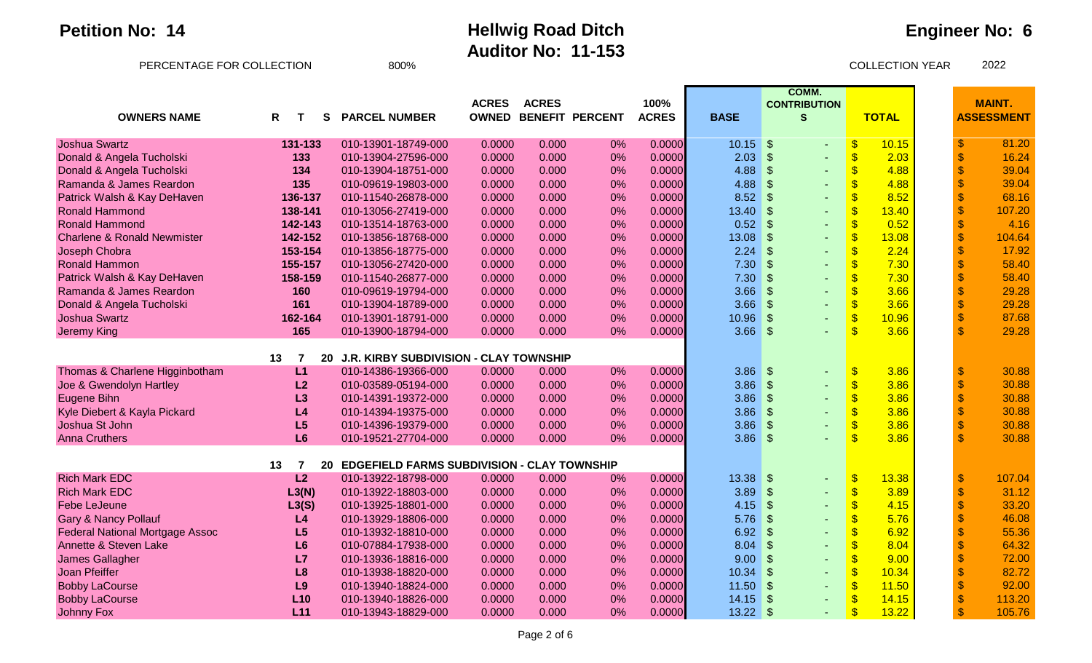### **Engineer No: 6**

| <b>OWNERS NAME</b>                     | R<br>S.<br>т               | <b>PARCEL NUMBER</b>                               | <b>ACRES</b> | <b>ACRES</b> | <b>OWNED BENEFIT PERCENT</b> | 100%<br><b>ACRES</b> | <b>BASE</b> | COMM.<br><b>CONTRIBUTION</b><br>$\mathbf{s}$ | <b>TOTAL</b>                       |                           | <b>MAINT.</b><br><b>ASSESSMENT</b> |
|----------------------------------------|----------------------------|----------------------------------------------------|--------------|--------------|------------------------------|----------------------|-------------|----------------------------------------------|------------------------------------|---------------------------|------------------------------------|
|                                        |                            |                                                    |              |              |                              |                      |             |                                              |                                    |                           |                                    |
| Joshua Swartz                          | 131-133                    | 010-13901-18749-000                                | 0.0000       | 0.000        | 0%                           | 0.0000               | 10.15       | ∣\$<br>$\blacksquare$                        | $\boldsymbol{\mathsf{S}}$<br>10.15 | -\$                       | 81.20                              |
| Donald & Angela Tucholski              | 133                        | 010-13904-27596-000                                | 0.0000       | 0.000        | 0%                           | 0.0000               | 2.03        | $\mathcal{S}$                                | $\sqrt{3}$<br>2.03                 | $\sqrt{3}$                | 16.24                              |
| Donald & Angela Tucholski              | 134                        | 010-13904-18751-000                                | 0.0000       | 0.000        | 0%                           | 0.0000               | 4.88        | $\sqrt{3}$                                   | $\frac{1}{2}$<br>4.88              | $\mathsf{\$}$             | 39.04                              |
| Ramanda & James Reardon                | 135                        | 010-09619-19803-000                                | 0.0000       | 0.000        | 0%                           | 0.0000               | 4.88        | $\sqrt{3}$                                   | $\boldsymbol{\$}$<br>4.88          | $\sqrt{2}$                | 39.04                              |
| Patrick Walsh & Kay DeHaven            | 136-137                    | 010-11540-26878-000                                | 0.0000       | 0.000        | 0%                           | 0.0000               | 8.52        | $\mathcal{S}$<br>٠                           | $\sqrt[6]{\frac{1}{2}}$<br>8.52    | $\mathsf{\$}$             | 68.16                              |
| <b>Ronald Hammond</b>                  | 138-141                    | 010-13056-27419-000                                | 0.0000       | 0.000        | 0%                           | 0.0000               | 13.40       | $\sqrt{3}$                                   | $\sqrt[6]{\frac{1}{2}}$<br>13.40   | $\mathsf{\$}$             | 107.20                             |
| <b>Ronald Hammond</b>                  | 142-143                    | 010-13514-18763-000                                | 0.0000       | 0.000        | 0%                           | 0.0000               | 0.52        | $\vert$ \$<br>٠                              | $\frac{1}{2}$<br>0.52              | $\mathsf{\$}$             | 4.16                               |
| <b>Charlene &amp; Ronald Newmister</b> | 142-152                    | 010-13856-18768-000                                | 0.0000       | 0.000        | 0%                           | 0.0000               | 13.08       | $\sqrt{3}$                                   | $\sqrt[6]{\frac{1}{2}}$<br>13.08   | $\boldsymbol{\mathsf{S}}$ | 104.64                             |
| Joseph Chobra                          | 153-154                    | 010-13856-18775-000                                | 0.0000       | 0.000        | 0%                           | 0.0000               | 2.24        | l \$<br>$\mathbf{r}$                         | $\sqrt[6]{\frac{1}{2}}$<br>2.24    | $\mathsf{\$}$             | 17.92                              |
| Ronald Hammon                          | 155-157                    | 010-13056-27420-000                                | 0.0000       | 0.000        | 0%                           | 0.0000               | 7.30        | $\mathcal{S}$                                | $\sqrt[6]{\frac{1}{2}}$<br>7.30    | $\sqrt{3}$                | 58.40                              |
| Patrick Walsh & Kay DeHaven            | 158-159                    | 010-11540-26877-000                                | 0.0000       | 0.000        | 0%                           | 0.0000               | 7.30        | $\sqrt{3}$                                   | $\frac{1}{2}$<br>7.30              | $\sqrt{2}$                | 58.40                              |
| Ramanda & James Reardon                | 160                        | 010-09619-19794-000                                | 0.0000       | 0.000        | 0%                           | 0.0000               | 3.66        | $\sqrt[6]{\frac{1}{2}}$                      | $\sqrt[6]{\frac{1}{2}}$<br>3.66    | $\sqrt{2}$                | 29.28                              |
| Donald & Angela Tucholski              | 161                        | 010-13904-18789-000                                | 0.0000       | 0.000        | 0%                           | 0.0000               | 3.66        | $\sqrt[3]{5}$<br>$\mathbf{r}$                | $\sqrt[6]{\frac{1}{2}}$<br>3.66    | $\sqrt{2}$                | 29.28                              |
| <b>Joshua Swartz</b>                   | 162-164                    | 010-13901-18791-000                                | 0.0000       | 0.000        | 0%                           | 0.0000               | 10.96       | $\sqrt[6]{3}$                                | $\sqrt[6]{\frac{1}{2}}$<br>10.96   | $\mathsf{\$}$             | 87.68                              |
| <b>Jeremy King</b>                     | 165                        | 010-13900-18794-000                                | 0.0000       | 0.000        | 0%                           | 0.0000               | 3.66        | l \$                                         | $\overline{\mathbb{S}}$<br>3.66    | $\mathbf{\hat{s}}$        | 29.28                              |
|                                        |                            |                                                    |              |              |                              |                      |             |                                              |                                    |                           |                                    |
|                                        | 13<br>20<br>$\overline{7}$ | J.R. KIRBY SUBDIVISION - CLAY TOWNSHIP             |              |              |                              |                      |             |                                              |                                    |                           |                                    |
| Thomas & Charlene Higginbotham         | L1                         | 010-14386-19366-000                                | 0.0000       | 0.000        | 0%                           | 0.0000               | 3.86        | \$<br>٠                                      | $\sqrt[6]{\frac{1}{2}}$<br>3.86    | $\sqrt[6]{3}$             | 30.88                              |
| Joe & Gwendolyn Hartley                | L2                         | 010-03589-05194-000                                | 0.0000       | 0.000        | 0%                           | 0.0000               | 3.86        | $\sqrt{2}$                                   | $\sqrt[6]{\frac{1}{2}}$<br>3.86    | $\mathsf{\$}$             | 30.88                              |
| Eugene Bihn                            | L3                         | 010-14391-19372-000                                | 0.0000       | 0.000        | 0%                           | 0.0000               | 3.86        | $\sqrt{2}$<br>٠                              | $\boldsymbol{\$}$<br>3.86          | $\sqrt{2}$                | 30.88                              |
| Kyle Diebert & Kayla Pickard           | L <sub>4</sub>             | 010-14394-19375-000                                | 0.0000       | 0.000        | 0%                           | 0.0000               | 3.86        | $\sqrt[3]{5}$<br>÷,                          | $\sqrt[6]{\frac{1}{2}}$<br>3.86    | $\sqrt{2}$                | 30.88                              |
| Joshua St John                         | L5                         | 010-14396-19379-000                                | 0.0000       | 0.000        | 0%                           | 0.0000               | 3.86        | 5                                            | $\sqrt[6]{\frac{1}{2}}$<br>3.86    | $\mathsf{\$}$             | 30.88                              |
| <b>Anna Cruthers</b>                   | L6                         | 010-19521-27704-000                                | 0.0000       | 0.000        | 0%                           | 0.0000               | 3.86        | \$                                           | $\overline{\mathbb{S}}$<br>3.86    | $\overline{\mathbf{S}}$   | 30.88                              |
|                                        | 13<br>7<br>20              | <b>EDGEFIELD FARMS SUBDIVISION - CLAY TOWNSHIP</b> |              |              |                              |                      |             |                                              |                                    |                           |                                    |
| <b>Rich Mark EDC</b>                   | L2                         | 010-13922-18798-000                                | 0.0000       | 0.000        | 0%                           | 0.0000               | 13.38       | \$<br>$\mathbf{r}$                           | $\sqrt[6]{\frac{1}{2}}$<br>13.38   | $\frac{1}{2}$             | 107.04                             |
| <b>Rich Mark EDC</b>                   | L3(N)                      | 010-13922-18803-000                                | 0.0000       | 0.000        | 0%                           | 0.0000               | 3.89        | $\frac{1}{2}$                                | $\sqrt[6]{3}$<br>3.89              | $\sqrt{3}$                | 31.12                              |
| <b>Febe LeJeune</b>                    | L3(S)                      | 010-13925-18801-000                                | 0.0000       | 0.000        | 0%                           | 0.0000               | 4.15        | $\vert \mathsf{\$}$                          | $\boldsymbol{\$}$<br>4.15          | $\sqrt{2}$                | 33.20                              |
| Gary & Nancy Pollauf                   | L <sub>4</sub>             | 010-13929-18806-000                                | 0.0000       | 0.000        | 0%                           | 0.0000               | 5.76        | $\sqrt{2}$                                   | $\sqrt[6]{\frac{1}{2}}$<br>5.76    | $\mathsf{\$}$             | 46.08                              |
| <b>Federal National Mortgage Assoc</b> | L5                         | 010-13932-18810-000                                | 0.0000       | 0.000        | 0%                           | 0.0000               | 6.92        | $\mathcal{S}$                                | $\sqrt{3}$<br>6.92                 | $\mathsf{\$}$             | 55.36                              |
| Annette & Steven Lake                  |                            |                                                    | 0.0000       | 0.000        | 0%                           | 0.0000               | 8.04        | $\sqrt[6]{\frac{1}{2}}$                      | $\sqrt{3}$<br>8.04                 | $\mathsf{\$}$             | 64.32                              |
|                                        | L <sub>6</sub>             | 010-07884-17938-000                                |              |              |                              |                      |             | $\sim$                                       |                                    | $\mathsf{\$}$             |                                    |
| James Gallagher                        | L7                         | 010-13936-18816-000                                | 0.0000       | 0.000        | 0%                           | 0.0000               | 9.00        | $\mathfrak{s}$                               | $\sqrt{3}$<br>9.00                 | $\mathsf{\$}$             | 72.00                              |
| <b>Joan Pfeiffer</b>                   | L8                         | 010-13938-18820-000                                | 0.0000       | 0.000        | 0%                           | 0.0000               | 10.34       | $\sqrt[6]{\frac{1}{2}}$<br>٠                 | $\sqrt{3}$<br>10.34                |                           | 82.72                              |
| <b>Bobby LaCourse</b>                  | L9                         | 010-13940-18824-000                                | 0.0000       | 0.000        | 0%                           | 0.0000               | 11.50       | $\mathfrak{S}$<br>$\sim$                     | $\sqrt[6]{\frac{1}{2}}$<br>11.50   | $\mathsf{\$}$             | 92.00                              |
| <b>Bobby LaCourse</b>                  | L10                        | 010-13940-18826-000                                | 0.0000       | 0.000        | 0%                           | 0.0000               | 14.15       | $\boldsymbol{\mathsf{S}}$                    | $\frac{1}{2}$<br>14.15             | $\sqrt{3}$                | 113.20                             |
| <b>Johnny Fox</b>                      | L11                        | 010-13943-18829-000                                | 0.0000       | 0.000        | 0%                           | 0.0000               | 13.22       | $\mathfrak{S}$                               | $\sqrt[6]{\frac{1}{2}}$<br>13.22   | $\mathbf{\hat{s}}$        | 105.76                             |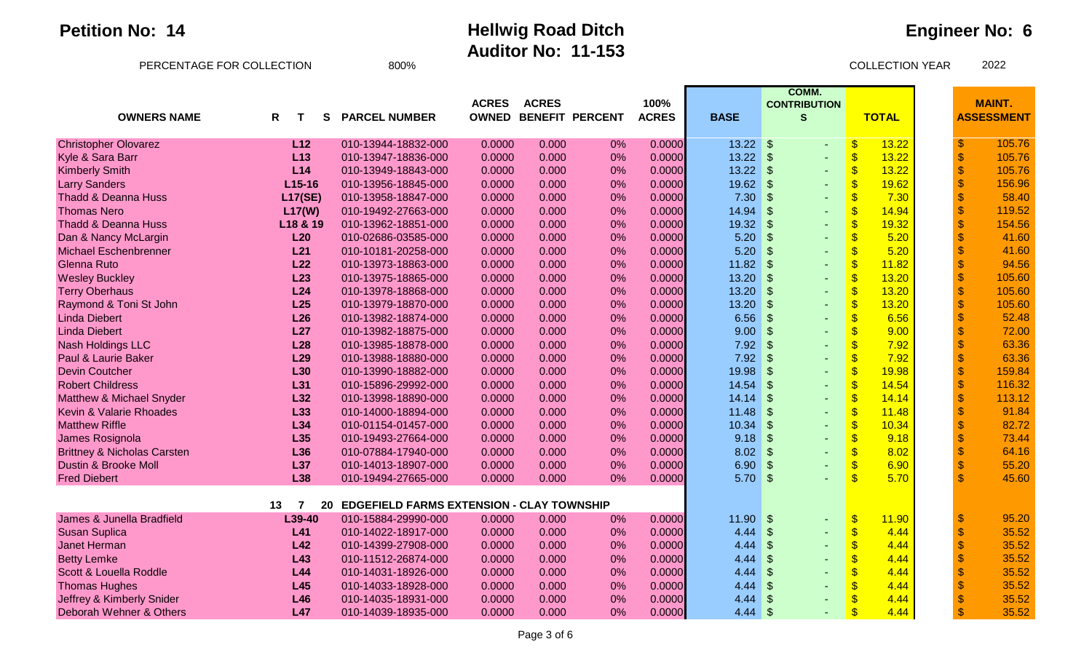### **Engineer No: 6**

| <b>OWNERS NAME</b>                     | Т               | <b>PARCEL NUMBER</b>                                   | <b>ACRES</b><br><b>OWNED</b> | <b>ACRES</b> | <b>BENEFIT PERCENT</b> | 100%<br><b>ACRES</b> | <b>BASE</b> | <b>COMM.</b><br><b>CONTRIBUTION</b><br>$\mathbf{s}$ | <b>TOTAL</b>              |       |                           | <b>MAINT.</b><br><b>ASSESSMENT</b> |
|----------------------------------------|-----------------|--------------------------------------------------------|------------------------------|--------------|------------------------|----------------------|-------------|-----------------------------------------------------|---------------------------|-------|---------------------------|------------------------------------|
|                                        | R               | S                                                      |                              |              |                        |                      |             |                                                     |                           |       |                           |                                    |
| <b>Christopher Olovarez</b>            | L <sub>12</sub> | 010-13944-18832-000                                    | 0.0000                       | 0.000        | 0%                     | 0.0000               | $13.22$ \$  | ٠                                                   | $\boldsymbol{\theta}$     | 13.22 | $\boldsymbol{\mathsf{S}}$ | 105.76                             |
| Kyle & Sara Barr                       | L13             | 010-13947-18836-000                                    | 0.0000                       | 0.000        | 0%                     | 0.0000               | 13.22       | $\sqrt[6]{\frac{1}{2}}$                             | $\boldsymbol{\mathsf{S}}$ | 13.22 | $\mathbb{S}$              | 105.76                             |
| <b>Kimberly Smith</b>                  | L14             | 010-13949-18843-000                                    | 0.0000                       | 0.000        | 0%                     | 0.0000               | 13.22       | $\sqrt[6]{\frac{1}{2}}$<br>$\blacksquare$           | $\sqrt[6]{\frac{1}{2}}$   | 13.22 | $\sqrt{2}$                | 105.76                             |
| <b>Larry Sanders</b>                   | $L15-16$        | 010-13956-18845-000                                    | 0.0000                       | 0.000        | 0%                     | 0.0000               | 19.62       | $\vert$ \$                                          | $\sqrt{3}$                | 19.62 | $\sqrt{3}$                | 156.96                             |
| <b>Thadd &amp; Deanna Huss</b>         | <b>L17(SE)</b>  | 010-13958-18847-000                                    | 0.0000                       | 0.000        | 0%                     | 0.0000               | 7.30        | $\sqrt[6]{3}$<br>$\mathbf{r}$                       | $\sqrt[6]{3}$             | 7.30  | $\sqrt{2}$                | 58.40                              |
| <b>Thomas Nero</b>                     | L17(W)          | 010-19492-27663-000                                    | 0.0000                       | 0.000        | 0%                     | 0.0000               | 14.94       | $\vert$ \$                                          | $\sqrt[6]{3}$             | 14.94 | $\mathsf{\$}$             | 119.52                             |
| <b>Thadd &amp; Deanna Huss</b>         | L18 & 19        | 010-13962-18851-000                                    | 0.0000                       | 0.000        | 0%                     | 0.0000               | 19.32       | $\mathcal{L}$<br>$\blacksquare$                     | $\sqrt{3}$                | 19.32 | $\mathsf{\$}$             | 154.56                             |
| Dan & Nancy McLargin                   | L20             | 010-02686-03585-000                                    | 0.0000                       | 0.000        | 0%                     | 0.0000               | 5.20        | $\mathcal{L}$<br>$\blacksquare$                     | $\sqrt{3}$                | 5.20  | $\mathsf{\$}$             | 41.60                              |
| <b>Michael Eschenbrenner</b>           | L21             | 010-10181-20258-000                                    | 0.0000                       | 0.000        | 0%                     | 0.0000               | 5.20        | $\mathcal{L}$                                       | $\sqrt[6]{3}$             | 5.20  | $\mathsf{\$}$             | 41.60                              |
| Glenna Ruto                            | L22             | 010-13973-18863-000                                    | 0.0000                       | 0.000        | 0%                     | 0.0000               | 11.82       | $\sqrt[6]{\frac{1}{2}}$                             | $\boldsymbol{\mathsf{S}}$ | 11.82 | $\sqrt{2}$                | 94.56                              |
| <b>Wesley Buckley</b>                  | L23             | 010-13975-18865-000                                    | 0.0000                       | 0.000        | 0%                     | 0.0000               | 13.20       | $\boldsymbol{\mathsf{S}}$                           | $\boldsymbol{\mathsf{S}}$ | 13.20 | $\boldsymbol{\mathsf{S}}$ | 105.60                             |
| <b>Terry Oberhaus</b>                  | L24             | 010-13978-18868-000                                    | 0.0000                       | 0.000        | 0%                     | 0.0000               | 13.20       | $\mathcal{S}$<br>$\blacksquare$                     | $\sqrt[6]{\frac{1}{2}}$   | 13.20 | $\mathsf{\$}$             | 105.60                             |
| Raymond & Toni St John                 | L25             | 010-13979-18870-000                                    | 0.0000                       | 0.000        | 0%                     | 0.0000               | 13.20       | $\mathcal{L}$                                       | $\sqrt{3}$                | 13.20 | $\mathsf{\$}$             | 105.60                             |
| <b>Linda Diebert</b>                   | L26             | 010-13982-18874-000                                    | 0.0000                       | 0.000        | 0%                     | 0.0000               | 6.56        | $\sqrt[6]{\frac{1}{2}}$<br>٠                        | $\sqrt[6]{3}$             | 6.56  | $\mathsf{\$}$             | 52.48                              |
| <b>Linda Diebert</b>                   | L27             | 010-13982-18875-000                                    | 0.0000                       | 0.000        | 0%                     | 0.0000               | 9.00        | $\sqrt[6]{\frac{1}{2}}$<br>$\sim$                   | $\sqrt{3}$                | 9.00  | $\mathsf{\$}$             | 72.00                              |
| <b>Nash Holdings LLC</b>               | L28             | 010-13985-18878-000                                    | 0.0000                       | 0.000        | 0%                     | 0.0000               | 7.92        | $\mathcal{L}$<br>$\sim$                             | $\sqrt[6]{3}$             | 7.92  | $\mathsf{\$}$             | 63.36                              |
| Paul & Laurie Baker                    | L29             | 010-13988-18880-000                                    | 0.0000                       | 0.000        | 0%                     | 0.0000               | 7.92        | $\mathcal{L}$                                       | $\sqrt{3}$                | 7.92  | $\sqrt{3}$                | 63.36                              |
| <b>Devin Coutcher</b>                  | L30             | 010-13990-18882-000                                    | 0.0000                       | 0.000        | 0%                     | 0.0000               | 19.98       | $\mathfrak{s}$<br>$\sim$                            | $\sqrt[6]{3}$             | 19.98 | $\sqrt{3}$                | 159.84                             |
| <b>Robert Childress</b>                | L31             | 010-15896-29992-000                                    | 0.0000                       | 0.000        | 0%                     | 0.0000               | 14.54       | $\sqrt[6]{\frac{1}{2}}$<br>٠                        | $\boldsymbol{\mathsf{S}}$ | 14.54 | $\boldsymbol{\mathsf{S}}$ | 116.32                             |
| Matthew & Michael Snyder               | L32             | 010-13998-18890-000                                    | 0.0000                       | 0.000        | 0%                     | 0.0000               | 14.14       | $\sqrt[6]{\frac{1}{2}}$<br>$\sim$                   | $\sqrt[6]{\frac{1}{2}}$   | 14.14 | $\sqrt{2}$                | 113.12                             |
| Kevin & Valarie Rhoades                | L33             | 010-14000-18894-000                                    | 0.0000                       | 0.000        | 0%                     | 0.0000               | 11.48       | $\sqrt[6]{\frac{1}{2}}$                             | $\sqrt{3}$                | 11.48 | $\mathsf{\$}$             | 91.84                              |
| <b>Matthew Riffle</b>                  | L34             | 010-01154-01457-000                                    | 0.0000                       | 0.000        | 0%                     | 0.0000               | 10.34       | \$<br>$\sim$                                        | $\sqrt[6]{3}$             | 10.34 | $\sqrt{2}$                | 82.72                              |
| James Rosignola                        | L35             | 010-19493-27664-000                                    | 0.0000                       | 0.000        | 0%                     | 0.0000               | 9.18        | $\mathfrak{S}$                                      | $\sqrt[6]{3}$             | 9.18  | $\mathsf{\$}$             | 73.44                              |
| <b>Brittney &amp; Nicholas Carsten</b> | L36             | 010-07884-17940-000                                    | 0.0000                       | 0.000        | 0%                     | 0.0000               | 8.02        | $\vert$ \$<br>٠                                     | $\sqrt{3}$                | 8.02  | $\mathsf{\$}$             | 64.16                              |
| Dustin & Brooke Moll                   | L37             | 010-14013-18907-000                                    | 0.0000                       | 0.000        | 0%                     | 0.0000               | 6.90        | $\sqrt[6]{\frac{1}{2}}$<br>٠                        | $\sqrt{3}$                | 6.90  | $\mathsf{\$}$             | 55.20                              |
| <b>Fred Diebert</b>                    | L38             | 010-19494-27665-000                                    | 0.0000                       | 0.000        | 0%                     | 0.0000               | $5.70$ \$   |                                                     | $\overline{\mathbb{S}}$   | 5.70  | $\mathcal{S}$             | 45.60                              |
|                                        | 13<br>7         | <b>EDGEFIELD FARMS EXTENSION - CLAY TOWNSHIP</b><br>20 |                              |              |                        |                      |             |                                                     |                           |       |                           |                                    |
| James & Junella Bradfield              | L39-40          | 010-15884-29990-000                                    | 0.0000                       | 0.000        | 0%                     | 0.0000               | 11.90       | $\vert$ \$<br>$\blacksquare$                        | $\sqrt[6]{\frac{1}{2}}$   | 11.90 | $\sqrt[6]{3}$             | 95.20                              |
| <b>Susan Suplica</b>                   | L41             | 010-14022-18917-000                                    | 0.0000                       | 0.000        | 0%                     | 0.0000               | 4.44        | $\vert$ \$                                          | $\sqrt{3}$                | 4.44  | $\mathsf{\$}$             | 35.52                              |
| Janet Herman                           | L42             | 010-14399-27908-000                                    | 0.0000                       | 0.000        | 0%                     | 0.0000               | 4.44        | $\vert$ \$<br>$\sim$                                | $\sqrt[6]{3}$             | 4.44  | $\mathsf{\$}$             | 35.52                              |
| <b>Betty Lemke</b>                     | L43             | 010-11512-26874-000                                    | 0.0000                       | 0.000        | 0%                     | 0.0000               | 4.44        | <b>S</b>                                            | $\sqrt{3}$                | 4.44  | $\mathsf{\$}$             | 35.52                              |
| Scott & Louella Roddle                 | L44             | 010-14031-18926-000                                    | 0.0000                       | 0.000        | 0%                     | 0.0000               | 4.44        | $\sqrt[6]{\frac{1}{2}}$<br>$\sim$                   | $\sqrt{3}$                | 4.44  | $\mathsf{\$}$             | 35.52                              |
| <b>Thomas Hughes</b>                   | <b>L45</b>      | 010-14033-18928-000                                    | 0.0000                       | 0.000        | 0%                     | 0.0000               | 4.44        | $\vert$ \$<br>$\sim$                                | $\sqrt{3}$                | 4.44  | $\mathsf{\$}$             | 35.52                              |
| Jeffrey & Kimberly Snider              | L46             | 010-14035-18931-000                                    | 0.0000                       | 0.000        | 0%                     | 0.0000               | 4.44        | $\mathfrak{s}$                                      | $\sqrt{3}$                | 4.44  | $\mathsf{\$}$             | 35.52                              |
| Deborah Wehner & Others                | L47             | 010-14039-18935-000                                    | 0.0000                       | 0.000        | 0%                     | 0.0000               | 4.44        | $\mathcal{S}$                                       | $\sqrt{3}$                | 4.44  | $\mathbf{\$}$             | 35.52                              |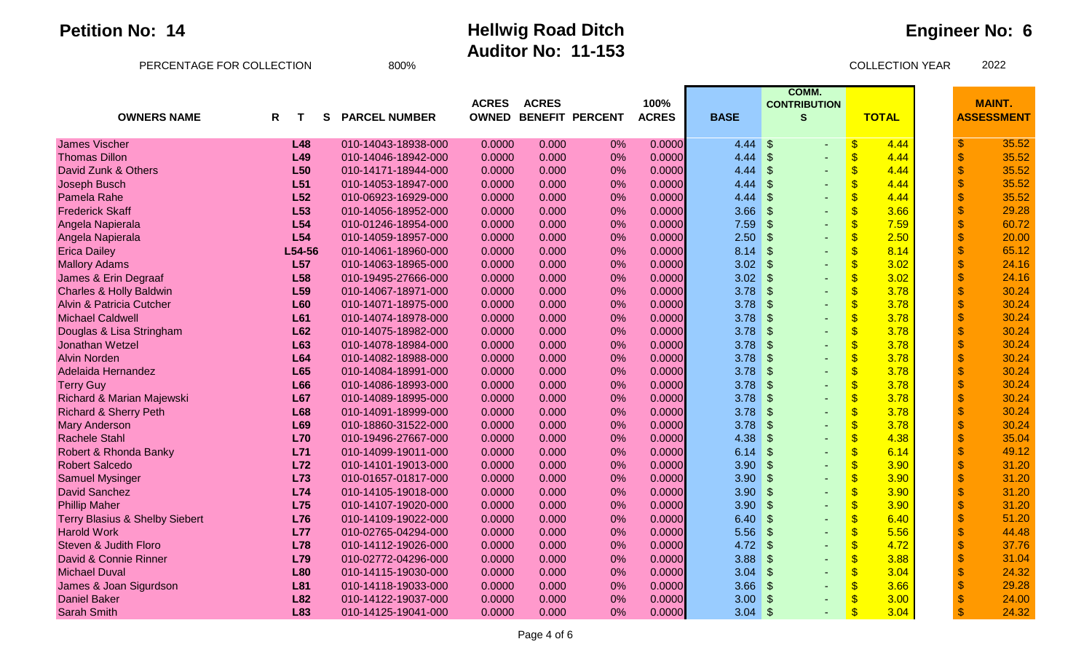### **Engineer No: 6**

| <b>OWNERS NAME</b>                        | R<br>Т          | S<br><b>PARCEL NUMBER</b> | <b>ACRES</b><br><b>OWNED</b> | <b>ACRES</b> | <b>BENEFIT PERCENT</b> | 100%<br><b>ACRES</b> | <b>BASE</b> | COMM.<br><b>CONTRIBUTION</b><br>S | <b>TOTAL</b>                      | <b>MAINT.</b><br><b>ASSESSMENT</b> |
|-------------------------------------------|-----------------|---------------------------|------------------------------|--------------|------------------------|----------------------|-------------|-----------------------------------|-----------------------------------|------------------------------------|
| James Vischer                             | L48             | 010-14043-18938-000       | 0.0000                       | 0.000        | 0%                     | 0.0000               | 4.44        | $\mathfrak{S}$                    | $\boldsymbol{\mathsf{S}}$<br>4.44 | 35.52<br>\$                        |
| <b>Thomas Dillon</b>                      | L49             | 010-14046-18942-000       | 0.0000                       | 0.000        | 0%                     | 0.0000               | 4.44        | $\sqrt[6]{\frac{1}{2}}$           | $\sqrt[6]{\frac{1}{2}}$<br>4.44   | $\boldsymbol{\$}$<br>35.52         |
| David Zunk & Others                       | L <sub>50</sub> | 010-14171-18944-000       | 0.0000                       | 0.000        | 0%                     | 0.0000               | 4.44        | $\mathfrak{S}$                    | $\frac{1}{2}$<br>4.44             | \$<br>35.52                        |
| Joseph Busch                              | L <sub>51</sub> | 010-14053-18947-000       | 0.0000                       | 0.000        | 0%                     | 0.0000               | 4.44        | $\mathfrak{S}$                    | $\sqrt[6]{\frac{1}{2}}$<br>4.44   | \$<br>35.52                        |
| Pamela Rahe                               | L52             | 010-06923-16929-000       | 0.0000                       | 0.000        | 0%                     | 0.0000               | 4.44        | $\mathfrak{S}$                    | $\frac{1}{2}$<br>4.44             | \$<br>35.52                        |
| <b>Frederick Skaff</b>                    | L <sub>53</sub> | 010-14056-18952-000       | 0.0000                       | 0.000        | 0%                     | 0.0000               | 3.66        | $\mathcal{S}$                     | $\sqrt{3}$<br>3.66                | \$<br>29.28                        |
| Angela Napierala                          | L54             | 010-01246-18954-000       | 0.0000                       | 0.000        | 0%                     | 0.0000               | 7.59        | $\mathfrak{S}$                    | $\sqrt{3}$<br>7.59                | $\mathsf{\$}$<br>60.72             |
| Angela Napierala                          | L54             | 010-14059-18957-000       | 0.0000                       | 0.000        | 0%                     | 0.0000               | 2.50        | $\mathfrak{S}$                    | $\sqrt[6]{\frac{1}{2}}$<br>2.50   | \$<br>20.00                        |
| <b>Erica Dailey</b>                       | L54-56          | 010-14061-18960-000       | 0.0000                       | 0.000        | 0%                     | 0.0000               | 8.14        | $\mathfrak{S}$                    | $\sqrt[6]{\frac{1}{2}}$<br>8.14   | \$<br>65.12                        |
| <b>Mallory Adams</b>                      | L <sub>57</sub> | 010-14063-18965-000       | 0.0000                       | 0.000        | 0%                     | 0.0000               | 3.02        | $\mathcal{S}$                     | $\sqrt[6]{\frac{1}{2}}$<br>3.02   | \$<br>24.16                        |
| James & Erin Degraaf                      | L <sub>58</sub> | 010-19495-27666-000       | 0.0000                       | 0.000        | 0%                     | 0.0000               | 3.02        | $\sqrt[6]{\frac{1}{2}}$           | $\sqrt[6]{\frac{1}{2}}$<br>3.02   | \$<br>24.16                        |
| <b>Charles &amp; Holly Baldwin</b>        | L <sub>59</sub> | 010-14067-18971-000       | 0.0000                       | 0.000        | 0%                     | 0.0000               | 3.78        | $\mathfrak{S}$                    | $\sqrt{3}$<br>3.78                | \$<br>30.24                        |
| <b>Alvin &amp; Patricia Cutcher</b>       | L60             | 010-14071-18975-000       | 0.0000                       | 0.000        | 0%                     | 0.0000               | 3.78        | $\sqrt[6]{\frac{1}{2}}$           | $\sqrt[6]{\frac{1}{2}}$<br>3.78   | \$<br>30.24                        |
| <b>Michael Caldwell</b>                   | L61             | 010-14074-18978-000       | 0.0000                       | 0.000        | 0%                     | 0.0000               | 3.78        | $\sqrt[6]{\frac{1}{2}}$           | $\frac{1}{2}$<br>3.78             | \$<br>30.24                        |
| Douglas & Lisa Stringham                  | L62             | 010-14075-18982-000       | 0.0000                       | 0.000        | 0%                     | 0.0000               | 3.78        | $\mathfrak{S}$                    | $\sqrt{3}$<br>3.78                | $\mathsf{\$}$<br>30.24             |
| <b>Jonathan Wetzel</b>                    | L63             | 010-14078-18984-000       | 0.0000                       | 0.000        | 0%                     | 0.0000               | 3.78        | $\mathfrak{S}$                    | $\sqrt{3}$<br>3.78                | $\mathsf{\$}$<br>30.24             |
| <b>Alvin Norden</b>                       | L64             | 010-14082-18988-000       | 0.0000                       | 0.000        | 0%                     | 0.0000               | 3.78        | $\mathcal{S}$                     | $\sqrt[6]{\frac{1}{2}}$<br>3.78   | \$<br>30.24                        |
| <b>Adelaida Hernandez</b>                 | <b>L65</b>      | 010-14084-18991-000       | 0.0000                       | 0.000        | 0%                     | 0.0000               | 3.78        | $\boldsymbol{\mathsf{S}}$         | $\sqrt[6]{\frac{1}{2}}$<br>3.78   | \$<br>30.24                        |
| <b>Terry Guy</b>                          | L66             | 010-14086-18993-000       | 0.0000                       | 0.000        | 0%                     | 0.0000               | 3.78        | $\mathfrak{S}$                    | $\sqrt[6]{\frac{1}{2}}$<br>3.78   | \$<br>30.24                        |
| Richard & Marian Majewski                 | <b>L67</b>      | 010-14089-18995-000       | 0.0000                       | 0.000        | 0%                     | 0.0000               | 3.78        | $\mathfrak{S}$                    | $\sqrt[6]{\frac{1}{2}}$<br>3.78   | \$<br>30.24                        |
| <b>Richard &amp; Sherry Peth</b>          | L68             | 010-14091-18999-000       | 0.0000                       | 0.000        | 0%                     | 0.0000               | 3.78        | $\mathfrak{S}$                    | $\frac{1}{2}$<br>3.78             | $\mathsf{\$}$<br>30.24             |
| <b>Mary Anderson</b>                      | L69             | 010-18860-31522-000       | 0.0000                       | 0.000        | 0%                     | 0.0000               | 3.78        | $\boldsymbol{\mathsf{S}}$         | $\frac{1}{2}$<br>3.78             | \$<br>30.24                        |
| <b>Rachele Stahl</b>                      | <b>L70</b>      | 010-19496-27667-000       | 0.0000                       | 0.000        | 0%                     | 0.0000               | 4.38        | $\sqrt[6]{\frac{1}{2}}$           | $\frac{1}{2}$<br>4.38             | \$<br>35.04                        |
| Robert & Rhonda Banky                     | L71             | 010-14099-19011-000       | 0.0000                       | 0.000        | 0%                     | 0.0000               | 6.14        | $\mathfrak{S}$                    | $\sqrt[6]{\frac{1}{2}}$<br>6.14   | $\mathsf{\$}$<br>49.12             |
| <b>Robert Salcedo</b>                     | <b>L72</b>      | 010-14101-19013-000       | 0.0000                       | 0.000        | 0%                     | 0.0000               | 3.90        | $\mathfrak{S}$                    | $\sqrt{3}$<br>3.90                | \$<br>31.20                        |
| <b>Samuel Mysinger</b>                    | L73             | 010-01657-01817-000       | 0.0000                       | 0.000        | 0%                     | 0.0000               | 3.90        | $\sqrt[6]{\frac{1}{2}}$           | $\sqrt[6]{\frac{1}{2}}$<br>3.90   | \$<br>31.20                        |
| <b>David Sanchez</b>                      | <b>L74</b>      | 010-14105-19018-000       | 0.0000                       | 0.000        | 0%                     | 0.0000               | 3.90        | $\sqrt[6]{\frac{1}{2}}$           | $\sqrt[6]{\frac{1}{2}}$<br>3.90   | \$<br>31.20                        |
| <b>Phillip Maher</b>                      | <b>L75</b>      | 010-14107-19020-000       | 0.0000                       | 0.000        | 0%                     | 0.0000               | 3.90        | $\sqrt[6]{\frac{1}{2}}$           | $\sqrt[6]{\frac{1}{2}}$<br>3.90   | \$<br>31.20                        |
| <b>Terry Blasius &amp; Shelby Siebert</b> | <b>L76</b>      | 010-14109-19022-000       | 0.0000                       | 0.000        | 0%                     | 0.0000               | 6.40        | $\mathfrak{S}$                    | $\sqrt[6]{\frac{1}{2}}$<br>6.40   | $\mathsf{\$}$<br>51.20             |
| <b>Harold Work</b>                        | <b>L77</b>      | 010-02765-04294-000       | 0.0000                       | 0.000        | 0%                     | 0.0000               | 5.56        | $\mathfrak{S}$                    | $\frac{1}{2}$<br>5.56             | \$<br>44.48                        |
| Steven & Judith Floro                     | <b>L78</b>      | 010-14112-19026-000       | 0.0000                       | 0.000        | 0%                     | 0.0000               | 4.72        | $\sqrt[6]{\frac{1}{2}}$           | $\frac{1}{2}$<br>4.72             | \$<br>37.76                        |
| David & Connie Rinner                     | L79             | 010-02772-04296-000       | 0.0000                       | 0.000        | 0%                     | 0.0000               | 3.88        | $\sqrt[6]{\frac{1}{2}}$           | $\frac{1}{2}$<br>3.88             | \$<br>31.04                        |
| <b>Michael Duval</b>                      | <b>L80</b>      | 010-14115-19030-000       | 0.0000                       | 0.000        | 0%                     | 0.0000               | 3.04        | $\sqrt[6]{\frac{1}{2}}$           | $\sqrt[6]{\frac{1}{2}}$<br>3.04   | $\frac{1}{2}$<br>24.32             |
| James & Joan Sigurdson                    | L81             | 010-14118-19033-000       | 0.0000                       | 0.000        | 0%                     | 0.0000               | 3.66        | -\$                               | $\sqrt[6]{\frac{1}{2}}$<br>3.66   | $\mathsf{\$}$<br>29.28             |
| <b>Daniel Baker</b>                       | L82             | 010-14122-19037-000       | 0.0000                       | 0.000        | 0%                     | 0.0000               | 3.00        | $\mathcal{S}$                     | $\sqrt[6]{\frac{1}{2}}$<br>3.00   | \$<br>24.00                        |
| <b>Sarah Smith</b>                        | L83             | 010-14125-19041-000       | 0.0000                       | 0.000        | 0%                     | 0.0000               | 3.04        | \$                                | $\overline{\mathcal{S}}$<br>3.04  | $\mathbf{\$}$<br>24.32             |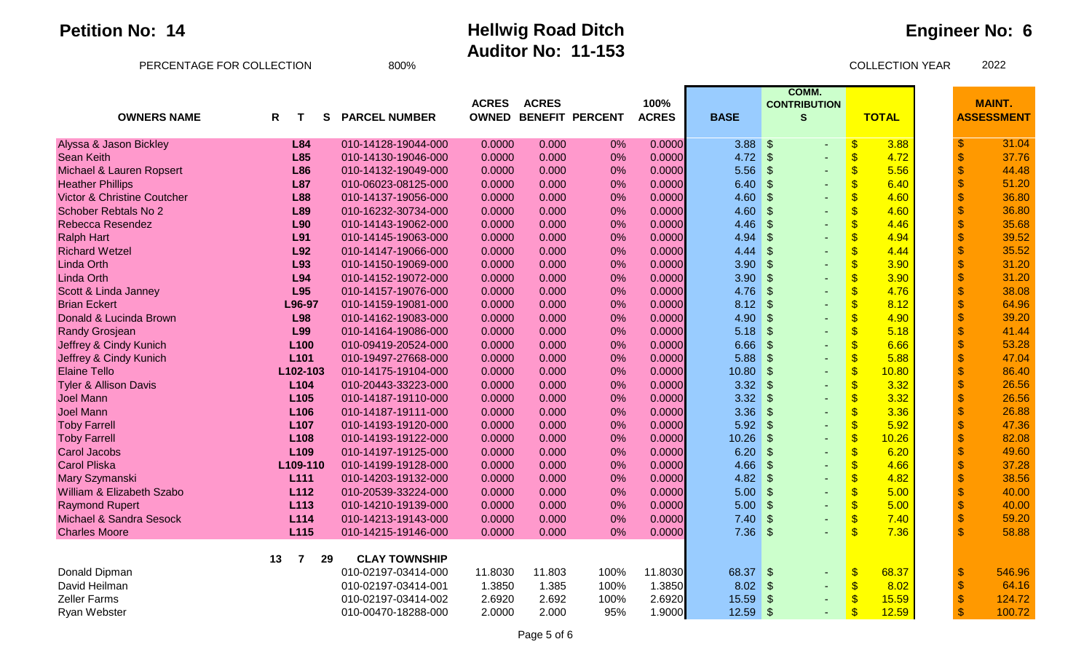|                                        |    |                  |    |                      | <b>ACRES</b> | <b>ACRES</b> |                        | 100%         |             | COMM.<br><b>CONTRIBUTION</b>      |                           |              |                           | <b>MAINT.</b>     |
|----------------------------------------|----|------------------|----|----------------------|--------------|--------------|------------------------|--------------|-------------|-----------------------------------|---------------------------|--------------|---------------------------|-------------------|
| <b>OWNERS NAME</b>                     | R. | T                | S. | <b>PARCEL NUMBER</b> | <b>OWNED</b> |              | <b>BENEFIT PERCENT</b> | <b>ACRES</b> | <b>BASE</b> | <sub>S</sub>                      |                           | <b>TOTAL</b> |                           | <b>ASSESSMENT</b> |
|                                        |    |                  |    |                      |              |              |                        |              |             |                                   |                           |              |                           |                   |
| Alyssa & Jason Bickley                 |    | L84              |    | 010-14128-19044-000  | 0.0000       | 0.000        | 0%                     | 0.0000       | 3.88        | \$<br>٠                           | $\boldsymbol{\mathsf{S}}$ | 3.88         | $\frac{1}{2}$             | 31.04             |
| Sean Keith                             |    | L85              |    | 010-14130-19046-000  | 0.0000       | 0.000        | 0%                     | 0.0000       | 4.72        | $\sqrt[6]{\frac{1}{2}}$           | $\boldsymbol{\mathsf{S}}$ | 4.72         | $\boldsymbol{\mathsf{S}}$ | 37.76             |
| Michael & Lauren Ropsert               |    | L86              |    | 010-14132-19049-000  | 0.0000       | 0.000        | 0%                     | 0.0000       | 5.56        | $\sqrt[6]{\frac{1}{2}}$<br>٠      | $\boldsymbol{\mathsf{S}}$ | 5.56         | $\mathsf{\$}$             | 44.48             |
| <b>Heather Phillips</b>                |    | <b>L87</b>       |    | 010-06023-08125-000  | 0.0000       | 0.000        | 0%                     | 0.0000       | 6.40        | $\mathfrak{S}$                    | $\sqrt{3}$                | 6.40         | $\mathsf{\$}$             | 51.20             |
| <b>Victor &amp; Christine Coutcher</b> |    | <b>L88</b>       |    | 010-14137-19056-000  | 0.0000       | 0.000        | 0%                     | 0.0000       | 4.60        | $\mathfrak{S}$<br>$\sim$          | \$                        | 4.60         | $\mathsf{\$}$             | 36.80             |
| Schober Rebtals No 2                   |    | L89              |    | 010-16232-30734-000  | 0.0000       | 0.000        | 0%                     | 0.0000       | 4.60        | $\mathfrak{S}$                    | $\sqrt{3}$                | 4.60         | $\mathsf{\$}$             | 36.80             |
| Rebecca Resendez                       |    | L90              |    | 010-14143-19062-000  | 0.0000       | 0.000        | 0%                     | 0.0000       | 4.46        | $\mathfrak{S}$<br>٠               | $\sqrt[6]{\frac{1}{2}}$   | 4.46         | $\mathsf{\$}$             | 35.68             |
| <b>Ralph Hart</b>                      |    | L91              |    | 010-14145-19063-000  | 0.0000       | 0.000        | 0%                     | 0.0000       | 4.94        | $\vert$ \$                        | $\sqrt[6]{\frac{1}{2}}$   | 4.94         | $\sqrt{3}$                | 39.52             |
| <b>Richard Wetzel</b>                  |    | L92              |    | 010-14147-19066-000  | 0.0000       | 0.000        | 0%                     | 0.0000       | 4.44        | $\mathfrak{S}$                    | $\sqrt[6]{3}$             | 4.44         | $\mathsf{\$}$             | 35.52             |
| <b>Linda Orth</b>                      |    | L93              |    | 010-14150-19069-000  | 0.0000       | 0.000        | 0%                     | 0.0000       | 3.90        | $\sqrt[6]{\frac{1}{2}}$           | $\boldsymbol{\mathsf{S}}$ | 3.90         | $\boldsymbol{\mathsf{S}}$ | 31.20             |
| <b>Linda Orth</b>                      |    | L94              |    | 010-14152-19072-000  | 0.0000       | 0.000        | 0%                     | 0.0000       | 3.90        | $\mathfrak{S}$<br>$\sim$          | $\sqrt{3}$                | 3.90         | $\mathsf{\$}$             | 31.20             |
| Scott & Linda Janney                   |    | L95              |    | 010-14157-19076-000  | 0.0000       | 0.000        | 0%                     | 0.0000       | 4.76        | $\sqrt[6]{\frac{1}{2}}$           | $\sqrt[6]{3}$             | 4.76         | $\mathsf{\$}$             | 38.08             |
| <b>Brian Eckert</b>                    |    | L96-97           |    | 010-14159-19081-000  | 0.0000       | 0.000        | 0%                     | 0.0000       | 8.12        | $\vert$ \$<br>$\sim$              | \$                        | 8.12         | $\mathsf{\$}$             | 64.96             |
| Donald & Lucinda Brown                 |    | L98              |    | 010-14162-19083-000  | 0.0000       | 0.000        | 0%                     | 0.0000       | 4.90        | $\sqrt[6]{\frac{1}{2}}$           | $\sqrt[6]{3}$             | 4.90         | $\mathsf{\$}$             | 39.20             |
| <b>Randy Grosjean</b>                  |    | L99              |    | 010-14164-19086-000  | 0.0000       | 0.000        | 0%                     | 0.0000       | 5.18        | $\mathfrak{s}$<br>$\sim$          | $\sqrt{3}$                | 5.18         | $\mathsf{\$}$             | 41.44             |
| Jeffrey & Cindy Kunich                 |    | L100             |    | 010-09419-20524-000  | 0.0000       | 0.000        | 0%                     | 0.0000       | 6.66        | $\boldsymbol{\mathsf{S}}$<br>٠    | $\sqrt[6]{3}$             | 6.66         | $\sqrt{3}$                | 53.28             |
| Jeffrey & Cindy Kunich                 |    | L101             |    | 010-19497-27668-000  | 0.0000       | 0.000        | 0%                     | 0.0000       | 5.88        | $\mathfrak{s}$                    | $\sqrt[6]{3}$             | 5.88         | $\mathsf{\$}$             | 47.04             |
| <b>Elaine Tello</b>                    |    | L102-103         |    | 010-14175-19104-000  | 0.0000       | 0.000        | 0%                     | 0.0000       | 10.80       | $\boldsymbol{\mathsf{S}}$<br>٠    | $\sqrt[6]{3}$             | 10.80        | $\mathsf{\$}$             | 86.40             |
| <b>Tyler &amp; Allison Davis</b>       |    | L104             |    | 010-20443-33223-000  | 0.0000       | 0.000        | 0%                     | 0.0000       | 3.32        | $\mathfrak{S}$                    | $\sqrt{3}$                | 3.32         | $\mathsf{\$}$             | 26.56             |
| <b>Joel Mann</b>                       |    | L105             |    | 010-14187-19110-000  | 0.0000       | 0.000        | 0%                     | 0.0000       | 3.32        | $\sqrt[6]{\frac{1}{2}}$<br>$\sim$ | $\sqrt[6]{3}$             | 3.32         | $\mathsf{\$}$             | 26.56             |
| <b>Joel Mann</b>                       |    | L106             |    | 010-14187-19111-000  | 0.0000       | 0.000        | 0%                     | 0.0000       | 3.36        | $\sqrt[6]{\frac{1}{2}}$<br>$\sim$ | $\sqrt{3}$                | 3.36         | $\mathsf{\$}$             | 26.88             |
| <b>Toby Farrell</b>                    |    | L <sub>107</sub> |    | 010-14193-19120-000  | 0.0000       | 0.000        | 0%                     | 0.0000       | 5.92        | $\vert$ \$<br>$\sim$              | $\sqrt{3}$                | 5.92         | $\mathsf{\$}$             | 47.36             |
| <b>Toby Farrell</b>                    |    | L108             |    | 010-14193-19122-000  | 0.0000       | 0.000        | 0%                     | 0.0000       | 10.26       | $\mathcal{L}$<br>$\sim$           | $\sqrt[6]{\frac{1}{2}}$   | 10.26        | $\mathsf{\$}$             | 82.08             |
| <b>Carol Jacobs</b>                    |    | L109             |    | 010-14197-19125-000  | 0.0000       | 0.000        | 0%                     | 0.0000       | 6.20        | $\mathfrak{S}$                    | $\sqrt[6]{3}$             | 6.20         | $\mathsf{\$}$             | 49.60             |
| <b>Carol Pliska</b>                    |    | L109-110         |    | 010-14199-19128-000  | 0.0000       | 0.000        | 0%                     | 0.0000       | 4.66        | $\mathfrak{S}$                    | $\boldsymbol{\mathsf{S}}$ | 4.66         | $\sqrt{2}$                | 37.28             |
| Mary Szymanski                         |    | L111             |    | 010-14203-19132-000  | 0.0000       | 0.000        | 0%                     | 0.0000       | 4.82        | $\sqrt[6]{\frac{1}{2}}$<br>٠      | $\sqrt[6]{3}$             | 4.82         | $\sqrt{2}$                | 38.56             |
| William & Elizabeth Szabo              |    | L112             |    | 010-20539-33224-000  | 0.0000       | 0.000        | 0%                     | 0.0000       | 5.00        | $\mathfrak{s}$                    | $\sqrt[6]{3}$             | 5.00         | $\mathsf{\$}$             | 40.00             |
| <b>Raymond Rupert</b>                  |    | L113             |    | 010-14210-19139-000  | 0.0000       | 0.000        | 0%                     | 0.0000       | 5.00        | $\sqrt[6]{3}$<br>٠                | $\sqrt[6]{3}$             | 5.00         | $\mathsf{\$}$             | 40.00             |
| Michael & Sandra Sesock                |    | L114             |    | 010-14213-19143-000  | 0.0000       | 0.000        | 0%                     | 0.0000       | 7.40        | $\mathsf{I}$                      | $\sqrt[6]{3}$             | 7.40         | $\mathsf{\$}$             | 59.20             |
| <b>Charles Moore</b>                   |    | L115             |    | 010-14215-19146-000  | 0.0000       | 0.000        | 0%                     | 0.0000       | 7.36        | <b>S</b><br>÷                     | $\overline{\mathbb{S}}$   | 7.36         | $\mathcal{S}$             | 58.88             |
|                                        |    |                  |    |                      |              |              |                        |              |             |                                   |                           |              |                           |                   |
|                                        | 13 | 7                | 29 | <b>CLAY TOWNSHIP</b> |              |              |                        |              |             |                                   |                           |              |                           |                   |
| Donald Dipman                          |    |                  |    | 010-02197-03414-000  | 11.8030      | 11.803       | 100%                   | 11.8030      | 68.37       | $\mathfrak{F}$<br>٠               | $\boldsymbol{\mathsf{S}}$ | 68.37        | $\frac{1}{2}$             | 546.96            |
| David Heilman                          |    |                  |    | 010-02197-03414-001  | 1.3850       | 1.385        | 100%                   | 1.3850       | 8.02        | $\boldsymbol{\mathsf{S}}$<br>٠    | $\sqrt[6]{3}$             | 8.02         | $\sqrt{2}$                | 64.16             |
| Zeller Farms                           |    |                  |    | 010-02197-03414-002  | 2.6920       | 2.692        | 100%                   | 2.6920       | 15.59       | $\mathcal{S}$<br>٠                | $\boldsymbol{\mathsf{S}}$ | 15.59        | $\sqrt{3}$                | 124.72            |
| Ryan Webster                           |    |                  |    | 010-00470-18288-000  | 2.0000       | 2.000        | 95%                    | 1.9000       | 12.59       | $\sqrt[6]{\frac{1}{2}}$<br>÷      | $\sqrt[6]{3}$             | 12.59        | $\mathbf{\$}$             | 100.72            |